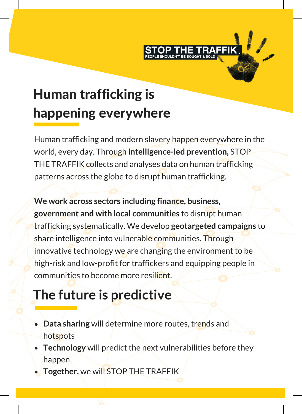

# Human trafficking is happening everywhere

Human trafficking and modern slavery happen everywhere in the world, every day. Through **intelligence-led prevention,** STOP THE TRAFFIK collects and analyses data on human trafficking patterns across the globe to disrupt human trafficking.

**We work across sectors including finance, business, government and with local communities** to disrupt human trafficking systematically. We develop **geotargeted campaigns** to share intelligence into vulnerable communities. Through innovative technology we are changing the environment to be high-risk and low-profit for traffickers and equipping people in communities to become more resilient.

## **The future is predictive**

- **Data sharing** will determine more routes, trends and hotspots
- **Technology** will predict the next vulnerabilities before they happen
- **Together,** we will STOP THE TRAFFIK